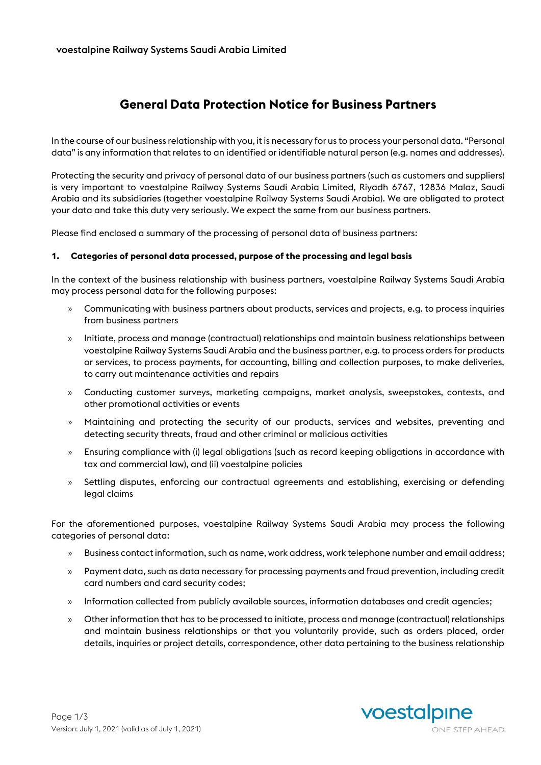# **General Data Protection Notice for Business Partners**

In the course of our business relationship with you, it is necessary for us to process your personal data. "Personal data" is any information that relates to an identified or identifiable natural person (e.g. names and addresses).

Protecting the security and privacy of personal data of our business partners (such as customers and suppliers) is very important to voestalpine Railway Systems Saudi Arabia Limited, Riyadh 6767, 12836 Malaz, Saudi Arabia and its subsidiaries (together voestalpine Railway Systems Saudi Arabia). We are obligated to protect your data and take this duty very seriously. We expect the same from our business partners.

Please find enclosed a summary of the processing of personal data of business partners:

#### **1. Categories of personal data processed, purpose of the processing and legal basis**

In the context of the business relationship with business partners, voestalpine Railway Systems Saudi Arabia may process personal data for the following purposes:

- » Communicating with business partners about products, services and projects, e.g. to process inquiries from business partners
- » Initiate, process and manage (contractual) relationships and maintain business relationships between voestalpine Railway Systems Saudi Arabia and the business partner, e.g. to process orders for products or services, to process payments, for accounting, billing and collection purposes, to make deliveries, to carry out maintenance activities and repairs
- » Conducting customer surveys, marketing campaigns, market analysis, sweepstakes, contests, and other promotional activities or events
- » Maintaining and protecting the security of our products, services and websites, preventing and detecting security threats, fraud and other criminal or malicious activities
- » Ensuring compliance with (i) legal obligations (such as record keeping obligations in accordance with tax and commercial law), and (ii) voestalpine policies
- » Settling disputes, enforcing our contractual agreements and establishing, exercising or defending legal claims

For the aforementioned purposes, voestalpine Railway Systems Saudi Arabia may process the following categories of personal data:

- » Business contact information, such as name, work address, work telephone number and email address;
- » Payment data, such as data necessary for processing payments and fraud prevention, including credit card numbers and card security codes;
- » Information collected from publicly available sources, information databases and credit agencies;
- » Other information that has to be processed to initiate, process and manage (contractual) relationships and maintain business relationships or that you voluntarily provide, such as orders placed, order details, inquiries or project details, correspondence, other data pertaining to the business relationship

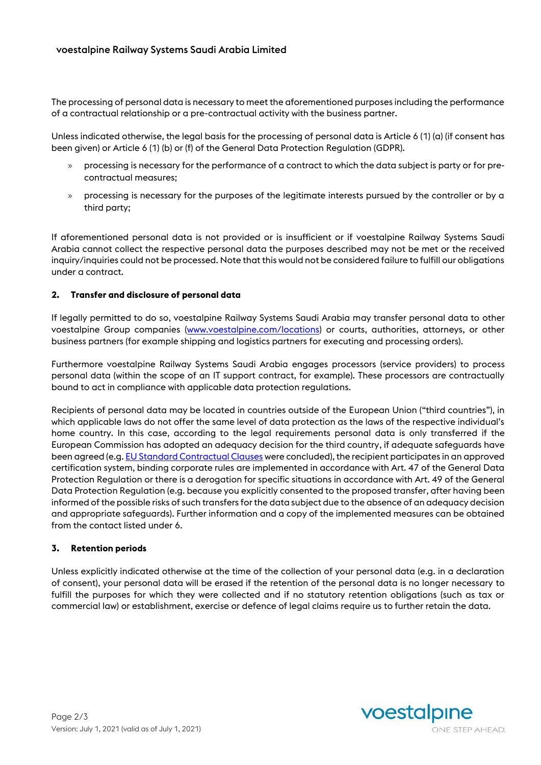The processing of personal data is necessary to meet the aforementioned purposes including the performance of a contractual relationship or a pre-contractual activity with the business partner.

Unless indicated otherwise, the legal basis for the processing of personal data is Article 6 (1) (a) (if consent has been given) or Article 6 (1) (b) or (f) of the General Data Protection Regulation (GDPR).

- » processing is necessary for the performance of a contract to which the data subject is party or for precontractual measures;
- » processing is necessary for the purposes of the legitimate interests pursued by the controller or by a third party;

If aforementioned personal data is not provided or is insufficient or if voestalpine Railway Systems Saudi Arabia cannot collect the respective personal data the purposes described may not be met or the received inquiry/inquiries could not be processed. Note that this would not be considered failure to fulfill our obligations under a contract.

### **2. Transfer and disclosure of personal data**

If legally permitted to do so, voestalpine Railway Systems Saudi Arabia may transfer personal data to other voestalpine Group companies [\(www.voestalpine.com/locations\)](http://www.voestalpine.com/locations) or courts, authorities, attorneys, or other business partners (for example shipping and logistics partners for executing and processing orders).

Furthermore voestalpine Railway Systems Saudi Arabia engages processors (service providers) to process personal data (within the scope of an IT support contract, for example). These processors are contractually bound to act in compliance with applicable data protection regulations.

Recipients of personal data may be located in countries outside of the European Union ("third countries"), in which applicable laws do not offer the same level of data protection as the laws of the respective individual's home country. In this case, according to the legal requirements personal data is only transferred if the European Commission has adopted an adequacy decision for the third country, if adequate safeguards have been agreed (e.g[. EU Standard Contractual Clauses](https://ec.europa.eu/info/law/law-topic/data-protection/data-transfers-outside-eu/model-contracts-transfer-personal-data-third-countries_en) were concluded), the recipient participates in an approved certification system, binding corporate rules are implemented in accordance with Art. 47 of the General Data Protection Regulation or there is a derogation for specific situations in accordance with Art. 49 of the General Data Protection Regulation (e.g. because you explicitly consented to the proposed transfer, after having been informed of the possible risks of such transfers for the data subject due to the absence of an adequacy decision and appropriate safeguards). Further information and a copy of the implemented measures can be obtained from the contact listed under 6.

### **3. Retention periods**

Unless explicitly indicated otherwise at the time of the collection of your personal data (e.g. in a declaration of consent), your personal data will be erased if the retention of the personal data is no longer necessary to fulfill the purposes for which they were collected and if no statutory retention obligations (such as tax or commercial law) or establishment, exercise or defence of legal claims require us to further retain the data.